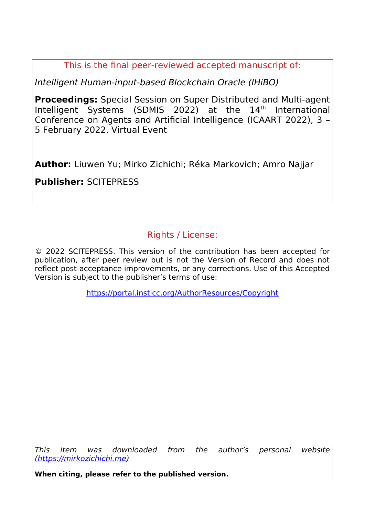This is the final peer-reviewed accepted manuscript of:

Intelligent Human-input-based Blockchain Oracle (IHiBO)

**Proceedings:** Special Session on Super Distributed and Multi-agent Intelligent Systems (SDMIS 2022) at the 14<sup>th</sup> International Conference on Agents and Artificial Intelligence (ICAART 2022), 3 – 5 February 2022, Virtual Event

**Author:** Liuwen Yu; Mirko Zichichi; Réka Markovich; Amro Najjar

**Publisher:** SCITEPRESS

# Rights / License:

© 2022 SCITEPRESS. This version of the contribution has been accepted for publication, after peer review but is not the Version of Record and does not reflect post-acceptance improvements, or any corrections. Use of this Accepted Version is subject to the publisher's terms of use:

<https://portal.insticc.org/AuthorResources/Copyright>

This item was downloaded from the author's personal website [\(https://mirkozichichi.me](https://mirkozichichi.me/))

**When citing, please refer to the published version.**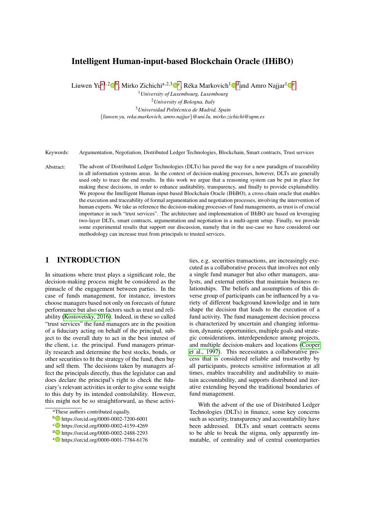# Intelligent Human-input-based Blockchain Oracle (IHiBO)

Liuwen Yu<sup>a1,2</sup>O<sup>b</sup>, Mirko Zichichi<sup>a,2,3</sup>O°, Réka Markovich<sup>1</sup>O<sup>d</sup>and Amro Najjar<sup>1</sup>O°

*University of Luxembourg, Luxembourg University of Bologna, Italy Universidad Politecnica de Madrid, Spain ´* {*liuwen.yu, reka.markovich, amro.najjar*}*@uni.lu, mirko.zichichi@upm.es*

Keywords: Argumentation, Negotiation, Distributed Ledger Technologies, Blockchain, Smart contracts, Trust services

Abstract: The advent of Distributed Ledger Technologies (DLTs) has paved the way for a new paradigm of traceability in all information systems areas. In the context of decision-making processes, however, DLTs are generally used only to trace the end results. In this work we argue that a reasoning system can be put in place for making these decisions, in order to enhance auditability, transparency, and finally to provide explainability. We propose the Intelligent Human-input-based Blockchain Oracle (IHiBO), a cross-chain oracle that enables the execution and traceability of formal argumentation and negotiation processes, involving the intervention of human experts. We take as reference the decision-making processes of fund managements, as trust is of crucial importance in such "trust services". The architecture and implementation of IHiBO are based on leveraging two-layer DLTs, smart contracts, argumentation and negotiation in a multi-agent setup. Finally, we provide some experimental results that support our discussion, namely that in the use-case we have considered our methodology can increase trust from principals to trusted services.

# 1 INTRODUCTION

In situations where trust plays a significant role, the decision-making process might be considered as the pinnacle of the engagement between parties. In the case of funds management, for instance, investors choose managers based not only on forecasts of future performance but also on factors such as trust and reliability (Kostovetsky, 2016). Indeed, in these so called "trust services" the fund managers are in the position of a fiduciary acting on behalf of the principal, subject to the overall duty to act in the best interest of the client, i.e. the principal. Fund managers primarily research and determine the best stocks, bonds, or other securities to fit the strategy of the fund, then buy and sell them. The decisions taken by managers affect the principals directly, thus the legislator can and does declare the principal's right to check the fiduciary's relevant activities in order to give some weight to this duty by its intended controlability. However, this might not be so straightforward, as these activi-

- <sup>b</sup> https://orcid.org/0000-0002-7200-6001
- <sup>c</sup> https://orcid.org/0000-0002-4159-4269
- <sup>d</sup> https://orcid.org/0000-0002-2488-2293
- <sup>e</sup> https://orcid.org/0000-0001-7784-6176

ties, e.g. securities transactions, are increasingly executed as a collaborative process that involves not only a single fund manager but also other managers, analysts, and external entities that maintain business relationships. The beliefs and assumptions of this diverse group of participants can be influenced by a variety of different background knowledge and in turn shape the decision that leads to the execution of a fund activity. The fund management decision process is characterized by uncertain and changing information, dynamic opportunities, multiple goals and strategic considerations, interdependence among projects, and multiple decision-makers and locations (Cooper et al., 1997). This necessitates a collaborative process that is considered reliable and trustworthy by all participants, protects sensitive information at all times, enables traceability and auditability to maintain accountability, and supports distributed and iterative extending beyond the traditional boundaries of fund management.

With the advent of the use of Distributed Ledger Technologies (DLTs) in finance, some key concerns such as security, transparency and accountability have been addressed. DLTs and smart contracts seems to be able to break the stigma, only apparently immutable, of centrality and of central counterparties

aThese authors contributed equally.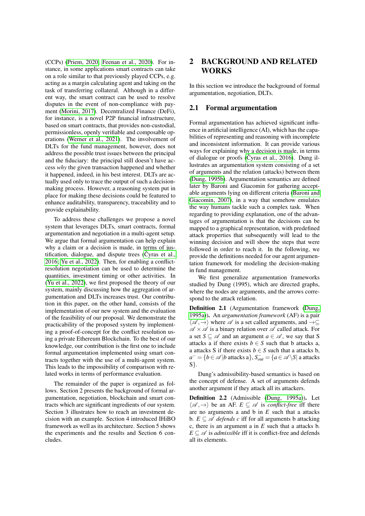(CCPs) (Priem, 2020; Feenan et al., 2020). For instance, in some applications smart contracts can take on a role similar to that previously played CCPs, e.g. acting as a margin calculating agent and taking on the task of transferring collateral. Although in a different way, the smart contract can be used to resolve disputes in the event of non-compliance with payment (Morini, 2017). Decentralized Finance (DeFi), for instance, is a novel P2P financial infrastructure, based on smart contracts, that provides non-custodial, permissionless, openly verifiable and composable operations (Werner et al., 2021). The involvement of DLTs for the fund management, however, does not address the possible trust issues between the principal and the fiduciary: the principal still doesn't have access *why* the given transaction happened and whether it happened, indeed, in his best interest. DLTs are actually used only to trace the output of such a decisionmaking process. However, a reasoning system put in place for making these decisions could be featured to enhance auditability, transparency, traceability and to provide explainability.

To address these challenges we propose a novel system that leverages DLTs, smart contracts, formal argumentation and negotiation in a multi-agent setup. We argue that formal argumentation can help explain why a claim or a decision is made, in terms of justification, dialogue, and dispute trees  $(\check{C}$ yras et al., 2016; Yu et al., 2022). Then, for enabling a conflictresolution negotiation can be used to determine the quantities, investment timing or other activities. In (Yu et al., 2022), we first proposed the theory of our system, mainly discussing how the aggregation of argumentation and DLTs increases trust. Our contribution in this paper, on the other hand, consists of the implementation of our new system and the evaluation of the feasibility of our proposal. We demonstrate the practicability of the proposed system by implementing a proof-of-concept for the conflict resolution using a private Ethereum Blockchain. To the best of our knowledge, our contribution is the first one to include formal argumentation implemented using smart contracts together with the use of a multi-agent system. This leads to the impossibility of comparison with related works in terms of performance evaluation.

The remainder of the paper is organized as follows. Section 2 presents the background of formal argumentation, negotiation, blockchain and smart contracts which are significant ingredients of our system. Section 3 illustrates how to reach an investment decision with an example. Section 4 introduced IHiBO framework as well as its architecture. Section 5 shows the experiments and the results and Section 6 concludes.

# 2 BACKGROUND AND RELATED WORKS

In this section we introduce the background of formal argumentation, negotiation, DLTs.

#### 2.1 Formal argumentation

Formal argumentation has achieved significant influence in artificial intelligence (AI), which has the capabilities of representing and reasoning with incomplete and inconsistent information. It can provide various ways for explaining why a decision is made, in terms of dialogue or proofs ( $\check{C}$ yras et al., 2016). Dung illustrates an argumentation system consisting of a set of arguments and the relation (attacks) between them (Dung, 1995b). Argumentation semantics are defined later by Baroni and Giacomin for gathering acceptable arguments lying on different criteria (Baroni and Giacomin, 2007), in a way that somehow emulates the way humans tackle such a complex task. When regarding to providing explanation, one of the advantages of argumentation is that the decisions can be mapped to a graphical representation, with predefined attack properties that subsequently will lead to the winning decision and will show the steps that were followed in order to reach it. In the following, we provide the definitions needed for our agent argumentation framework for modeling the decision-making in fund management.

We first generalize argumentation frameworks studied by Dung (1995), which are directed graphs, where the nodes are arguments, and the arrows correspond to the attack relation.

Definition 2.1 (Argumentation framework (Dung, 1995a)). An *argumentation framework* (AF) is a pair  $\langle \mathscr{A}, \rightarrow \rangle$  where  $\mathscr{A}$  is a set called arguments, and  $\rightarrow \subseteq$  $\mathscr{A} \times \mathscr{A}$  is a binary relation over  $\mathscr{A}$  called attack. For a set  $S \subseteq \mathcal{A}$  and an argument  $a \in \mathcal{A}$ , we say that S attacks a if there exists  $b \in S$  such that b attacks a, a attacks S if there exists  $b \in S$  such that a attacks b, *a*<sup>−</sup> = {*b* ∈  $\mathscr A$  |*b* attacks a}, *S*<sub>*out*</sub> = {*a* ∈  $\mathscr A$  \*S*| a attacks S}.

Dung's admissibility-based semantics is based on the concept of defense. A set of arguments defends another argument if they attack all its attackers.

Definition 2.2 (Admissible (Dung, 1995a)). Let  $\langle \mathscr{A}, \rightarrow \rangle$  be an AF.  $E \subseteq \mathscr{A}$  is *conflict-free* iff there are no arguments a and b in *E* such that a attacks b.  $E \subseteq \mathcal{A}$  *defends c* iff for all arguments b attacking c, there is an argument a in *E* such that a attacks b.  $E \subseteq \mathcal{A}$  is *admissible* iff it is conflict-free and defends all its elements.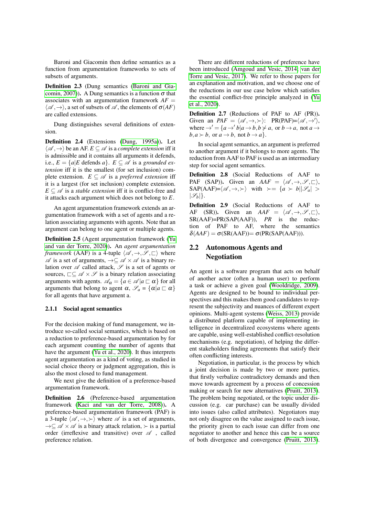Baroni and Giacomin then define semantics as a function from argumentation frameworks to sets of subsets of arguments.

Definition 2.3 (Dung semantics (Baroni and Giacomin, 2007)). A Dung semantics is a function  $\sigma$  that associates with an argumentation framework  $AF =$  $\langle \mathscr{A}, \rightarrow \rangle$ , a set of subsets of  $\mathscr{A}$ , the elements of  $\sigma(AF)$ are called extensions.

Dung distinguishes several definitions of extension.

Definition 2.4 (Extensions (Dung, 1995a)). Let  $\langle \mathscr{A}, \rightarrow \rangle$  be an AF.  $E \subseteq \mathscr{A}$  is a *complete extension* iff it is admissible and it contains all arguments it defends, i.e.,  $E = \{a | E \text{ depends } a\}$ .  $E \subseteq \mathcal{A}$  is a *grounded extension* iff it is the smallest (for set inclusion) complete extension.  $E \subseteq \mathcal{A}$  is a *preferred extension* iff it is a largest (for set inclusion) complete extension.  $E \subseteq \mathscr{A}$  is a *stable extension* iff it is conflict-free and it attacks each argument which does not belong to *E*.

An agent argumentation framework extends an argumentation framework with a set of agents and a relation associating arguments with agents. Note that an argument can belong to one agent or multiple agents.

Definition 2.5 (Agent argumentation framework (Yu and van der Torre, 2020)). An *agent argumentation framework* (AAF) is a 4-tuple  $\langle \mathcal{A}, \rightarrow, \mathcal{S}, \sqsubset \rangle$  where  $\mathscr A$  is a set of arguments,  $\rightarrow \subseteq \mathscr A \times \mathscr A$  is a binary relation over  $\mathscr A$  called attack,  $\mathscr S$  is a set of agents or sources,  $\Box \subseteq \mathscr{A} \times \mathscr{S}$  is a binary relation associating arguments with agents.  $\mathcal{A}_{\alpha} = \{a \in \mathcal{A} | a \sqsubset \alpha\}$  for all arguments that belong to agent  $\alpha$ ,  $\mathscr{S}_a = {\alpha | a \sqsubset \alpha}$ for all agents that have argument a.

#### 2.1.1 Social agent semantics

For the decision making of fund management, we introduce so-called social semantics, which is based on a reduction to preference-based argumentation by for each argument counting the number of agents that have the argument (Yu et al., 2020). It thus interprets agent argumentation as a kind of voting, as studied in social choice theory or judgment aggregation, this is also the most closed to fund management.

We next give the definition of a preference-based argumentation framework.

Definition 2.6 (Preference-based argumentation framework (Kaci and van der Torre, 2008)). A preference-based argumentation framework (PAF) is a 3-tuple  $\langle \mathscr{A}, \rightarrow, \rangle$  where  $\mathscr{A}$  is a set of arguments,  $\rightarrow \subseteq \mathscr{A} \times \mathscr{A}$  is a binary attack relation,  $\succ$  is a partial order (irreflexive and transitive) over  $\mathscr A$ , called preference relation.

There are different reductions of preference have been introduced (Amgoud and Vesic, 2014; van der Torre and Vesic, 2017). We refer to those papers for an explanation and motivation, and we choose one of the reductions in our use case below which satisfies the essential conflict-free principle analyzed in (Yu et al., 2020).

Definition 2.7 (Reductions of PAF to AF (PR)). Given an  $PAF = \langle \mathcal{A}, \rightarrow, \rangle$ :  $PR(PAF)=\langle \mathcal{A}, \rightarrow' \rangle$ , where  $\rightarrow' = \{a \rightarrow' b | a \rightarrow b, b \not\prec a, \text{ or } b \rightarrow a, \text{ not } a \rightarrow b, b \not\prec a \}$  $b, a \succ b$ , or  $a \rightarrow b$ , not  $b \rightarrow a$ .

In social agent semantics, an argument is preferred to another argument if it belongs to more agents. The reduction from AAF to PAF is used as an intermediary step for social agent semantics.

Definition 2.8 (Social Reductions of AAF to PAF (SAP)). Given an  $AAF = \langle \mathscr{A}, \rightarrow, \mathscr{S}, \sqsubset \rangle$ ,  $SAP(AAF)=\langle \mathscr{A}, \rightarrow, \succ \rangle$  with  $\succ = \{a \succ b | |\mathscr{S}_a| >$  $|\mathscr{S}_b|$ .

Definition 2.9 (Social Reductions of AAF to AF (SR)). Given an  $AAF = \langle \mathcal{A}, \rightarrow, \mathcal{S}, \sqsubset \rangle$ , SR(AAF)=PR(SAP(AAF)), *PR* is the reduction of PAF to AF, where the semantics  $\delta(AAF) = \sigma(SR(AAF)) = \sigma(PR(SAP(AAF))).$ 

# 2.2 Autonomous Agents and Negotiation

An agent is a software program that acts on behalf of another actor (often a human user) to perform a task or achieve a given goal (Wooldridge, 2009). Agents are designed to be bound to individual perspectives and this makes them good candidates to represent the subjectivity and nuances of different expert opinions. Multi-agent systems (Weiss, 2013) provide a distributed platform capable of implementing intelligence in decentralized ecosystems where agents are capable, using well-established conflict-resolution mechanisms (e.g. negotiation), of helping the different stakeholders finding agreements that satisfy their often conflicting interests.

Negotiation, in particular, is the process by which a joint decision is made by two or more parties, that firstly verbalize contradictory demands and then move towards agreement by a process of concession making or search for new alternatives (Pruitt, 2013). The problem being negotiated, or the topic under discussion (e.g. car purchase) can be usually divided into issues (also called attributes). Negotiators may not only disagree on the value assigned to each issue, the priority given to each issue can differ from one negotiator to another and hence this can be a source of both divergence and convergence (Pruitt, 2013).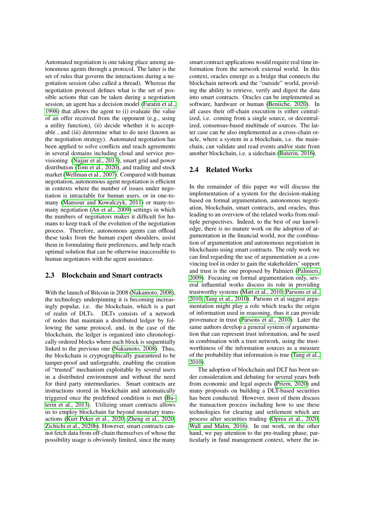Automated negotiation is one taking place among autonomous agents through a protocol. The latter is the set of rules that governs the interactions during a negotiation session (also called a thread). Whereas the negotiation protocol defines what is the set of possible actions that can be taken during a negotiation session, an agent has a decision model (Faratin et al., 1998) that allows the agent to (i) evaluate the value of an offer received from the opponent (e.g., using a utility function), (ii) decide whether it is acceptable , and (iii) determine what to do next (known as the negotiation strategy). Automated negotiation has been applied to solve conflicts and reach agreements in several domains including cloud and service provisioning (Najjar et al., 2013), smart grid and power distribution (Tom et al., 2020), and trading and stock market (Wellman et al., 2007). Compared with human negotiation, autonomous agent negotiation is efficient in contexts where the number of issues under negotiation is intractable for human users, or in one-tomany (Mansour and Kowalczyk, 2011) or many-tomany negotiation (An et al., 2009) settings in which the numbers of negotiators makes it difficult for humans to keep track of the evolution of the negotiation process. Therefore, autonomous agents can offload these tasks from the human expert shoulders, assist them in formulating their preferences, and help reach optimal solution that can be otherwise inaccessible to human negotiators with the agent assistance.

#### 2.3 Blockchain and Smart contracts

With the launch of Bitcoin in 2008 (Nakamoto, 2008), the technology underpinning it is becoming increasingly popular, i.e. the blockchain, which is a part of realm of DLTs. DLTs consists of a network of nodes that maintain a distributed ledger by following the same protocol, and, in the case of the blockchain, the ledger is organized into chronologically ordered blocks where each block is sequentially linked to the previous one (Nakamoto, 2008). Thus, the blockchain is cryptographically guaranteed to be tamper-proof and unforgeable, enabling the creation of "trusted" mechanism exploitable by several users in a distributed environment and without the need for third party intermediaries. Smart contracts are instructions stored in blockchain and automatically triggered once the predefined condition is met (Buterin et al., 2013). Utilizing smart contracts allows us to employ blockchain far beyond monetary transactions (Kurt Peker et al., 2020; Zheng et al., 2020; Zichichi et al., 2020b). However, smart contracts cannot fetch data from off-chain themselves of whose the possibility usage is obviously limited, since the many

smart contract applications would require real time information from the network external world. In this context, oracles emerge as a bridge that connects the blockchain network and the "outside" world, providing the ability to retrieve, verify and digest the data into smart contracts. Oracles can be implemented as software, hardware or human (Beniiche, 2020). In all cases their off-chain execution is either centralized, i.e. coming from a single source, or decentralized, consensus-based multitude of sources. The latter case can be also implemented as a cross-chain oracle, where a system in a blockchain, i.e. the mainchain, can validate and read events and/or state from another blockchain, i.e. a sidechain (Buterin, 2016).

#### 2.4 Related Works

In the remainder of this paper we will discuss the implementation of a system for the decision-making based on formal argumentation, autonomous negotiation, blockchain, smart contracts, and oracles, thus leading to an overview of the related works from multiple perspectives. Indeed, to the best of our knowledge, there is no mature work on the adoption of argumentation in the financial world, nor the combination of argumentation and autonomous negotiation in blockchains using smart contracts. The only work we can find regarding the use of argumentation as a convincing tool in order to gain the stakeholders' support and trust is the one proposed by Palmieri (Palmieri, 2009). Focusing on formal argumentation only, several influential works discuss its role in providing trustworthy systems (Matt et al., 2010; Parsons et al., 2010; Tang et al., 2010). Parsons et al suggest argumentation might play a role which tracks the origin of information used in reasoning, thus it can provide provenance in trust (Parsons et al., 2010). Later the same authors develop a general system of argumentation that can represent trust information, and be used in combination with a trust network, using the trustworthiness of the information sources as a measure of the probability that information is true (Tang et al., 2010).

The adoption of blockchain and DLT has been under consideration and debating for several years both from economic and legal aspects (Priem, 2020) and many proposals on building a DLT-based securities has been conducted. However, most of them discuss the transaction process including how to use these technologies for clearing and settlement which are process after securities trading (Oprea et al., 2020; Wall and Malm, 2016). In our work, on the other hand, we pay attention to the pre-trading phase, particularly in fund management context, where the in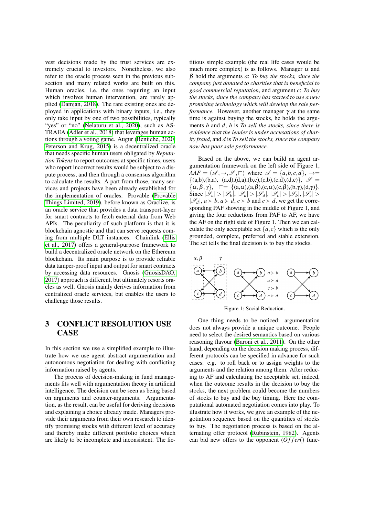vest decisions made by the trust services are extremely crucial to investors. Nonetheless, we also refer to the oracle process seen in the previous subsection and many related works are built on this. Human oracles, i.e. the ones requiring an input which involves human intervention, are rarely applied (Damjan, 2018). The rare existing ones are deployed in applications with binary inputs, i.e., they only take input by one of two possibilities, typically "yes" or "no" (Nelaturu et al., 2020), such as AS-TRAEA (Adler et al., 2018) that leverages human actions through a voting game. Augur (Beniiche, 2020; Peterson and Krug, 2015) is a decentralized oracle that needs specific human users obligated by *Reputation Tokens* to report outcomes at specific times, users who report incorrect results would be subject to a dispute process, and then through a consensus algorithm to calculate the results. A part from those, many services and projects have been already established for the implementation of oracles. Provable (Provable Things Limited, 2019), before known as Oraclize, is an oracle service that provides a data transport-layer for smart contracts to fetch external data from Web APIs. The peculiarity of such platform is that it is blockchain agnostic and that can serve requests coming from multiple DLT instances. Chainlink (Ellis et al., 2017) offers a general-purpose framework to build a decentralized oracle network on the Ethereum blockchain. Its main purpose is to provide reliable data tamper-proof input and output for smart contracts by accessing data resources. Gnosis (GnosisDAO, 2017) approach is different, but ultimately resorts oracles as well. Gnosis mainly derives information from centralized oracle services, but enables the users to challenge those results.

# 3 CONFLICT RESOLUTION USE **CASE**

In this section we use a simplified example to illustrate how we use agent abstract argumentation and autonomous negotiation for dealing with conflicting information raised by agents.

The process of decision-making in fund managements fits well with argumentation theory in artificial intelligence. The decision can be seen as being based on arguments and counter-arguments. Argumentation, as the result, can be useful for deriving decisions and explaining a choice already made. Managers provide their arguments from their own research to identify promising stocks with different level of accuracy and thereby make different portfolio choices which are likely to be incomplete and inconsistent. The fic-

titious simple example (the real life cases would be much more complex) is as follows. Manager  $\alpha$  and β hold the arguments *a*: *To buy the stocks, since the company just donated to charities that is beneficial to good commercial reputation*, and argument *c*: *To buy the stocks, since the company has started to use a new promising technology which will develop the sale performance.* However, another manager γ at the same time is against buying the stocks, he holds the arguments *b* and *d*, *b* is *To sell the stocks, since there is evidence that the leader is under accusations of charity fraud*, and *d* is *To sell the stocks, since the company now has poor sale performance.*

Based on the above, we can build an agent argumentation framework on the left side of Figure 1,  $AAF = \langle \mathcal{A}, \rightarrow, \mathcal{S}, \sqsubset \rangle$  where  $\mathcal{A} = \{a, b, c, d\}, \rightarrow =$  $\{(a,b),(b,a), (a,d),(d,a),(b,c),(c,b),(c,d),(d,c)\}, \mathscr{S} =$  $\{\alpha, \beta, \gamma\}, \quad \square = \{(a, \alpha), (a, \beta), (c, \alpha), (c, \beta), (b, \gamma), (d, \gamma)\}.$ Since  $|\mathscr{S}_a| > |\mathscr{S}_b|$ ,  $|\mathscr{S}_a| > |\mathscr{S}_d|$ ,  $|\mathscr{S}_c| > |\mathscr{S}_b|$ ,  $|\mathscr{S}_c| >$  $|\mathscr{S}_d|, a \succ b, a \succ d, c \succ b$  and  $c \succ d$ , we get the corresponding PAF showing in the middle of Figure 1, and giving the four reductions from PAF to AF, we have the AF on the right side of Figure 1. Then we can calculate the only acceptable set  $\{a, c\}$  which is the only grounded, complete, preferred and stable extension. The set tells the final decision is to buy the stocks.



Figure 1: Social Reduction.

One thing needs to be noticed: argumentation does not always provide a unique outcome. People need to select the desired semantics based on various reasoning flavour (Baroni et al., 2011). On the other hand, depending on the decision making process, different protocols can be specified in advance for such cases: e.g. to roll back or to assign weights to the arguments and the relation among them. After reducing to AF and calculating the acceptable set, indeed, when the outcome results in the decision to buy the stocks, the next problem could become the numbers of stocks to buy and the buy timing. Here the computational automated negotiation comes into play. To illustrate how it works, we give an example of the negotiation sequence based on the quantities of stocks to buy. The negotiation process is based on the alternating offer protocol (Rubinstein, 1982). Agents can bid new offers to the opponent  $(Offer()$  func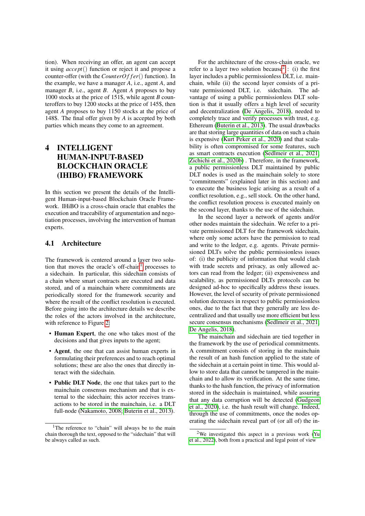tion). When receiving an offer, an agent can accept it using *accept*() function or reject it and propose a counter-offer (with the *CounterOffer*() function). In the example, we have a manager *A*, i.e., agent *A*, and manager *B*, i.e., agent *B*. Agent *A* proposes to buy 1000 stocks at the price of 151\$, while agent *B* counteroffers to buy 1200 stocks at the price of 145\$, then agent *A* proposes to buy 1150 stocks at the price of 148\$. The final offer given by *A* is accepted by both parties which means they come to an agreement.

# 4 INTELLIGENT HUMAN-INPUT-BASED BLOCKCHAIN ORACLE (IHIBO) FRAMEWORK

In this section we present the details of the Intelligent Human-input-based Blockchain Oracle Framework. IHiBO is a cross-chain oracle that enables the execution and traceability of argumentation and negotiation processes, involving the intervention of human experts.

## 4.1 Architecture

The framework is centered around a layer two solution that moves the oracle's off-chain<sup>1</sup> processes to a sidechain. In particular, this sidechain consists of a chain where smart contracts are executed and data stored, and of a mainchain where commitments are periodically stored for the framework security and where the result of the conflict resolution is executed. Before going into the architecture details we describe the roles of the actors involved in the architecture, with reference to Figure 2:

- Human Expert, the one who takes most of the decisions and that gives inputs to the agent;
- Agent, the one that can assist human experts in formulating their preferences and to reach optimal solutions; these are also the ones that directly interact with the sidechain.
- Public DLT Node, the one that takes part to the mainchain consensus mechanism and that is external to the sidechain; this actor receives transactions to be stored in the mainchain, i.e. a DLT full-node (Nakamoto, 2008; Buterin et al., 2013).

For the architecture of the cross-chain oracle, we refer to a layer two solution because<sup>2</sup>: (i) the first layer includes a public permissionless DLT, i.e. mainchain, while (ii) the second layer consists of a private permissioned DLT, i.e. sidechain. The advantage of using a public permissionless DLT solution is that it usually offers a high level of security and decentralization (De Angelis, 2018), needed to completely trace and verify processes with trust, e.g. Ethereum (Buterin et al., 2013). The usual drawbacks are that storing large quantities of data on such a chain is expensive (Kurt Peker et al., 2020) and that scalability is often compromised for some features, such as smart contracts execution (Sedlmeir et al., 2021; Zichichi et al., 2020b) . Therefore, in the framework, a public permissionless DLT maintained by public DLT nodes is used as the mainchain solely to store "commitments" (explained later in this section) and to execute the business logic arising as a result of a conflict resolution, e.g., sell stock. On the other hand, the conflict resolution process is executed mainly on the second layer, thanks to the use of the sidechain.

In the second layer a network of agents and/or other nodes maintain the sidechain. We refer to a private permissioned DLT for the framework sidechain, where only some actors have the permission to read and write to the ledger, e.g. agents. Private permissioned DLTs solve the public permissionless issues of: (i) the publicity of information that would clash with trade secrets and privacy, as only allowed actors can read from the ledger; (ii) expensiveness and scalability, as permissioned DLTs protocols can be designed ad-hoc to specifically address these issues. However, the level of security of private permissioned solution decreases in respect to public permissionless ones, due to the fact that they generally are less decentralized and that usually use more efficient but less secure consensus mechanisms (Sedlmeir et al., 2021; De Angelis, 2018).

The mainchain and sidechain are tied together in the framework by the use of periodical commitments. A commitment consists of storing in the mainchain the result of an hash function applied to the state of the sidechain at a certain point in time. This would allow to store data that cannot be tampered in the mainchain and to allow its verification. At the same time, thanks to the hash function, the privacy of information stored in the sidechain is maintained, while assuring that any data corruption will be detected (Gudgeon et al., 2020), i.e. the hash result will change. Indeed, through the use of commitments, once the nodes operating the sidechain reveal part of (or all of) the in-

<sup>&</sup>lt;sup>1</sup>The reference to "chain" will always be to the main chain thorough the text, opposed to the "sidechain" that will be always called as such.

<sup>2</sup>We investigated this aspect in a previous work (Yu et al., 2022), both from a practical and legal point of view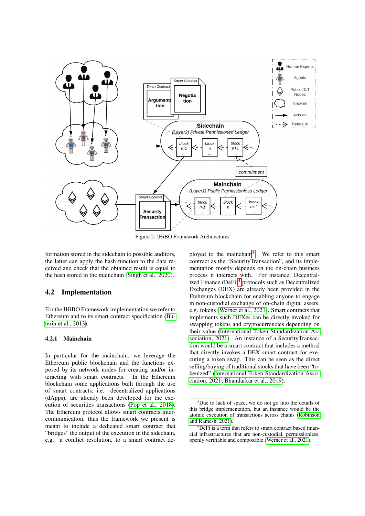

Figure 2: IHiBO Framework Architectures

formation stored in the sidechain to possible auditors, the latter can apply the hash function to the data received and check that the obtained result is equal to the hash stored in the mainchain (Singh et al., 2020).

#### 4.2 Implementation

For the IHiBO Framework implementation we refer to Ethereum and to its smart contract specification (Buterin et al., 2013).

#### 4.2.1 Mainchain

In particular for the mainchain, we leverage the Ethereum public blockchain and the functions exposed by its network nodes for creating and/or interacting with smart contracts. In the Ethereum blockchain some applications built through the use of smart contracts, i.e. decentralized applications (dApps), are already been developed for the execution of securities transactions (Pop et al., 2018). The Ethereum protocol allows smart contracts intercommunication, thus the framework we present is meant to include a dedicated smart contract that "bridges" the output of the execution in the sidechain, e.g. a conflict resolution, to a smart contract de-

ployed to the mainchain<sup>3</sup>. We refer to this smart contract as the "SecurityTransaction", and its implementation mostly depends on the on-chain business process it interacts with. For instance, Decentralized Finance (DeFi)<sup>4</sup> protocols such as Decentralized Exchanges (DEX) are already been provided in the Etehreum blockchain for enabling anyone to engage in non-custodial exchange of on-chain digital assets, e.g. tokens (Werner et al., 2021). Smart contracts that implements such DEXes can be directly invoked for swapping tokens and cryptocurrencies depending on their value (International Token Standardization Association, 2021). An instance of a SecurityTransaction would be a smart contract that includes a method that directly invokes a DEX smart contract for executing a token swap. This can be seen as the direct selling/buying of traditional stocks that have been "tokenized" (International Token Standardization Association, 2021; Bhandarkar et al., 2019).

 $3$ Due to lack of space, we do not go into the details of this bridge implementation, but an instance would be the atomic execution of transactions across chains (Robinson and Ramesh, 2021).

 ${}^{4}$ DeFi is a term that refers to smart contract based financial infrastructures that are non-custodial, permissionless, openly verifiable and composable (Werner et al., 2021).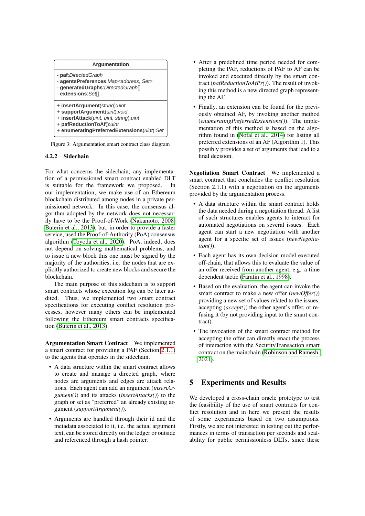

#### 4.2.2 Sidechain

For what concerns the sidechain, any implementation of a permissioned smart contract enabled DLT is suitable for the framework we proposed. In our implementation, we make use of an Ethereum blockchain distributed among nodes in a private permissioned network. In this case, the consensus algorithm adopted by the network does not necessarily have to be the Proof-of-Work (Nakamoto, 2008; Buterin et al., 2013), but, in order to provide a faster service, used the Proof-of-Authority (PoA) consensus algorithm (Toyoda et al., 2020). PoA, indeed, does not depend on solving mathematical problems, and to issue a new block this one must be signed by the majority of the authorities, i.e. the nodes that are explicitly authorized to create new blocks and secure the blockchain.

The main purpose of this sidechain is to support smart contracts whose execution log can be later audited. Thus, we implemented two smart contract specifications for executing conflict resolution processes, however many others can be implemented following the Ethereum smart contracts specification (Buterin et al., 2013).

Argumentation Smart Contract We implemented a smart contract for providing a PAF (Section 2.1.1) to the agents that operates in the sidechain.

- A data structure within the smart contract allows to create and manage a directed graph, where nodes are arguments and edges are attack relations. Each agent can add an argument (*insertArgument()*) and its attacks (*insertAttacks()*) to the graph or set as "preferred" an already existing argument (*supportArgument()*).
- Arguments are handled through their id and the metadata associated to it, i.e. the actual argument text, can be stored directly on the ledger or outside and referenced through a hash pointer.
- After a predefined time period needed for completing the PAF, reductions of PAF to AF can be invoked and executed directly by the smart contract (*pafReductionToAfPr()*). The result of invoking this method is a new directed graph representing the AF.
- Finally, an extension can be found for the previously obtained AF, by invoking another method (*enumeratingPreferredExtensions()*). The implementation of this method is based on the algorithm found in (Nofal et al., 2014) for listing all preferred extensions of an AF (Algorithm 1). This possibly provides a set of arguments that lead to a final decision.

Negotiation Smart Contract We implemented a smart contract that concludes the conflict resolution (Section 2.1.1) with a negotiation on the arguments provided by the argumentation process.

- A data structure within the smart contract holds the data needed during a negotiation thread. A list of such structures enables agents to interact for automated negotiations on several issues. Each agent can start a new negotiation with another agent for a specific set of issues (*newNegotiation()*).
- Each agent has its own decision model executed off-chain, that allows this to evaluate the value of an offer received from another agent, e.g. a time dependent tactic (Faratin et al., 1998).
- Based on the evaluation, the agent can invoke the smart contract to make a new offer (*newOffer()*) providing a new set of values related to the issues, accepting (*accept()*) the other agent's offer, or refusing it (by not providing input to the smart contract).
- The invocation of the smart contract method for accepting the offer can directly enact the process of interaction with the SecurityTransaction smart contract on the mainchain (Robinson and Ramesh, 2021).

# 5 Experiments and Results

We developed a cross-chain oracle prototype to test the feasibility of the use of smart contracts for conflict resolution and in here we present the results of some experiments based on two assumptions. Firstly, we are not interested in testing out the performances in terms of transaction per seconds and scalability for public permissionless DLTs, since these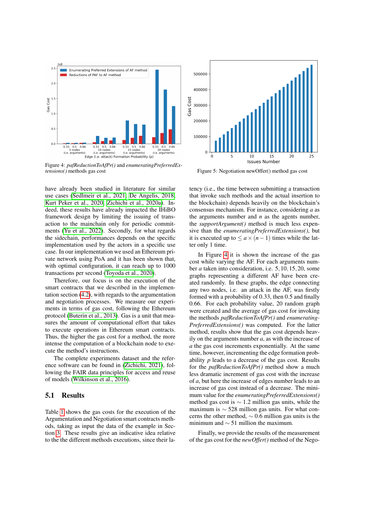

Figure 4: *pafReductionToAfPr()* and *enumeratingPreferredExtensions()* methods gas cost Figure 5: Negotiation newOffer() method gas cost

have already been studied in literature for similar use cases (Sedlmeir et al., 2021; De Angelis, 2018; Kurt Peker et al., 2020; Zichichi et al., 2020a). Indeed, these results have already impacted the IHiBO framework design by limiting the issuing of transaction to the mainchain only for periodic commitments (Yu et al., 2022). Secondly, for what regards the sidechain, performances depends on the specific implementation used by the actors in a specific use case. In our implementation we used an Ethereum private network using PoA and it has been shown that, with optimal configuration, it can reach up to 1000 transactions per second (Toyoda et al., 2020).

Therefore, our focus is on the execution of the smart contracts that we described in the implementation section (4.2), with regards to the argumentation and negotiation processes. We measure our experiments in terms of gas cost, following the Ethereum protocol (Buterin et al., 2013). Gas is a unit that measures the amount of computational effort that takes to execute operations in Ethereum smart contracts. Thus, the higher the gas cost for a method, the more intense the computation of a blockchain node to execute the method's instructions.

The complete experiments dataset and the reference software can be found in (Zichichi, 2021), following the FAIR data principles for access and reuse of models (Wilkinson et al., 2016).

#### 5.1 Results

Table 1 shows the gas costs for the execution of the Argumentation and Negotiation smart contracts methods, taking as input the data of the example in Section 3. These results give an indicative idea relative to the the different methods executions, since their la-



tency (i.e., the time between submitting a transaction that invoke such methods and the actual insertion to the blockchain) depends heavily on the blockchain's consensus mechanism. For instance, considering *a* as the arguments number and *n* as the agents number, the *supportArgument()* method is much less expensive than the *enumeratingPreferredExtensions()*, but it is executed up to  $\le a \times (n-1)$  times while the latter only 1 time.

In Figure 4 it is shown the increase of the gas cost while varying the AF. For each arguments number *a* taken into consideration, i.e. 5,10,15,20, some graphs representing a different AF have been created randomly. In these graphs, the edge connecting any two nodes, i.e. an attack in the AF, was firstly formed with a probability of 0.33, then 0.5 and finally 0.66. For each probability value, 20 random graph were created and the average of gas cost for invoking the methods *pafReductionToAfPr()* and *enumerating-PreferredExtensions()* was computed. For the latter method, results show that the gas cost depends heavily on the arguments number *a*, as with the increase of *a* the gas cost increments exponentially. At the same time, however, incrementing the edge formation probability *p* leads to a decrease of the gas cost. Results for the *pafReductionToAfPr()* method show a much less dramatic increment of gas cost with the increase of *a*, but here the increase of edges number leads to an increase of gas cost instead of a decrease. The minimum value for the *enumeratingPreferredExtensions()* method gas cost is  $\sim$  1.2 million gas units, while the maximum is ∼ 528 million gas units. For what concerns the other method,  $\sim 0.6$  million gas units is the minimum and  $\sim$  51 million the maximum.

Finally, we provide the results of the measurement of the gas cost for the *newOffer()* method of the Nego-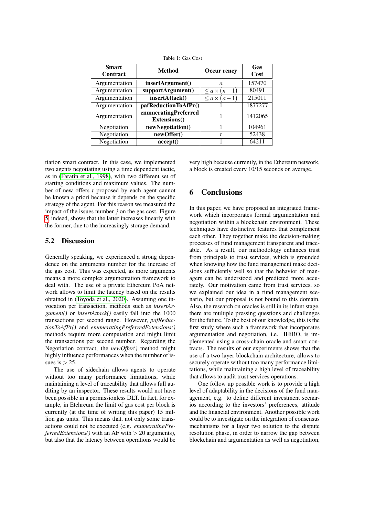| <b>Smart</b><br>Contract | <b>Method</b>                        | Occur rency           | Gas<br>Cost |
|--------------------------|--------------------------------------|-----------------------|-------------|
| Argumentation            | insertArgument()                     | $\mathfrak a$         | 157470      |
| Argumentation            | supportArgument()                    | $\leq a \times (n-1)$ | 80491       |
| Argumentation            | insertAttack()                       | $\leq a \times (a-1)$ | 215011      |
| Argumentation            | pafReductionToAfPr()                 |                       | 1877277     |
| Argumentation            | enumeratingPreferred<br>Extensions() |                       | 1412065     |
| Negotiation              | newNegotiation()                     |                       | 104961      |
| Negotiation              | newOffer()                           | t                     | 52438       |
| Negotiation              | accept()                             |                       | 64211       |

Table 1: Gas Cost

tiation smart contract. In this case, we implemented two agents negotiating using a time dependent tactic, as in (Faratin et al., 1998), with two different set of starting conditions and maximum values. The number of new offers *t* proposed by each agent cannot be known a priori because it depends on the specific strategy of the agent. For this reason we measured the impact of the issues number *j* on the gas cost. Figure 5, indeed, shows that the latter increases linearly with the former, due to the increasingly storage demand.

### 5.2 Discussion

Generally speaking, we experienced a strong dependence on the arguments number for the increase of the gas cost. This was expected, as more arguments means a more complex argumentation framework to deal with. The use of a private Ethereum PoA network allows to limit the latency based on the results obtained in (Toyoda et al., 2020). Assuming one invocation per transaction, methods such as *insertArgument()* or *insertAttack()* easily fall into the 1000 transactions per second range. However, *pafReductionToAfPr()* and *enumeratingPreferredExtensions()* methods require more computation and might limit the transactions per second number. Regarding the Negotiation contract, the *newOffer()* method might highly influence performances when the number of issues is  $> 25$ .

The use of sidechain allows agents to operate without too many performance limitations, while maintaining a level of traceability that allows full auditing by an inspector. These results would not have been possible in a permissionless DLT. In fact, for example, in Etehreum the limit of gas cost per block is currently (at the time of writing this paper) 15 million gas units. This means that, not only some transactions could not be executed (e.g. *enumeratingPreferredExtensions()* with an AF with  $> 20$  arguments), but also that the latency between operations would be very high because currently, in the Ethereum network, a block is created every 10/15 seconds on average.

## 6 Conclusions

In this paper, we have proposed an integrated framework which incorporates formal argumentation and negotiation within a blockchain environment. These techniques have distinctive features that complement each other. They together make the decision-making processes of fund management transparent and traceable. As a result, our methodology enhances trust from principals to trust services, which is grounded when knowing how the fund management make decisions sufficiently well so that the behavior of managers can be understood and predicted more accurately. Our motivation came from trust services, so we explained our idea in a fund management scenario, but our proposal is not bound to this domain. Also, the research on oracles is still in its infant stage, there are multiple pressing questions and challenges for the future. To the best of our knowledge, this is the first study where such a framework that incorporates argumentation and negotiation, i.e. IHiBO, is implemented using a cross-chain oracle and smart contracts. The results of our experiments shows that the use of a two layer blockchain architecture, allows to securely operate without too many performance limitations, while maintaining a high level of traceability that allows to audit trust services operations.

One follow up possible work is to provide a high level of adaptability in the decisions of the fund management, e.g. to define different investment scenarios according to the investors' preferences, attitude and the financial environment. Another possible work could be to investigate on the integration of consensus mechanisms for a layer two solution to the dispute resolution phase, in order to narrow the gap between blockchain and argumentation as well as negotiation,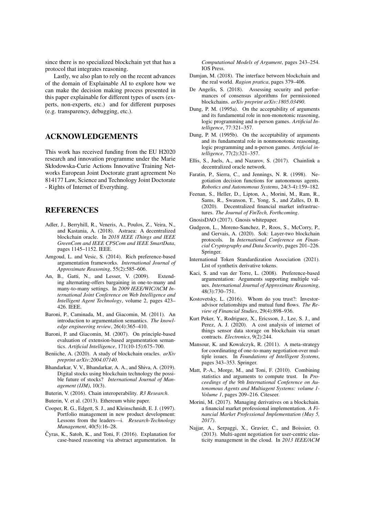since there is no specialized blockchain yet that has a protocol that integrates reasoning.

Lastly, we also plan to rely on the recent advances of the domain of Explainable AI to explore how we can make the decision making process presented in this paper explainable for different types of users (experts, non-experts, etc.) and for different purposes (e.g. transparency, debugging, etc.).

## ACKNOWLEDGEMENTS

This work has received funding from the EU H2020 research and innovation programme under the Marie Skłodowska-Curie Actions Innovative Training Networks European Joint Doctorate grant agreement No 814177 Law, Science and Technology Joint Doctorate - Rights of Internet of Everything.

## REFERENCES

- Adler, J., Berryhill, R., Veneris, A., Poulos, Z., Veira, N., and Kastania, A. (2018). Astraea: A decentralized blockchain oracle. In *2018 IEEE iThings and IEEE GreenCom and IEEE CPSCom and IEEE SmartData*, pages 1145–1152. IEEE.
- Amgoud, L. and Vesic, S. (2014). Rich preference-based argumentation frameworks. *International Journal of Approximate Reasoning*, 55(2):585–606.
- An, B., Gatti, N., and Lesser, V. (2009). Extending alternating-offers bargaining in one-to-many and many-to-many settings. In *2009 IEEE/WIC/ACM International Joint Conference on Web Intelligence and Intelligent Agent Technology*, volume 2, pages 423– 426. IEEE.
- Baroni, P., Caminada, M., and Giacomin, M. (2011). An introduction to argumentation semantics. *The knowledge engineering review*, 26(4):365–410.
- Baroni, P. and Giacomin, M. (2007). On principle-based evaluation of extension-based argumentation semantics. *Artificial Intelligence*, 171(10-15):675–700.
- Beniiche, A. (2020). A study of blockchain oracles. *arXiv preprint arXiv:2004.07140*.
- Bhandarkar, V. V., Bhandarkar, A. A., and Shiva, A. (2019). Digital stocks using blockchain technology the possible future of stocks? *International Journal of Management (IJM)*, 10(3).
- Buterin, V. (2016). Chain interoperability. *R3 Research*.
- Buterin, V. et al. (2013). Ethereum white paper.
- Cooper, R. G., Edgett, S. J., and Kleinschmidt, E. J. (1997). Portfolio management in new product development: Lessons from the leaders—i. *Research-Technology Management*, 40(5):16–28.
- Čyras, K., Satoh, K., and Toni, F. (2016). Explanation for case-based reasoning via abstract argumentation. In

*Computational Models of Argument*, pages 243–254. IOS Press.

- Damjan, M. (2018). The interface between blockchain and the real world. *Ragion pratica*, pages 379–406.
- De Angelis, S. (2018). Assessing security and performances of consensus algorithms for permissioned blockchains. *arXiv preprint arXiv:1805.03490*.
- Dung, P. M. (1995a). On the acceptability of arguments and its fundamental role in non-monotonic reasoning, logic programming and n-person games. *Artificial Intelligence*, 77:321–357.
- Dung, P. M. (1995b). On the acceptability of arguments and its fundamental role in nonmonotonic reasoning, logic programming and n-person games. *Artificial intelligence*, 77(2):321–357.
- Ellis, S., Juels, A., and Nazarov, S. (2017). Chainlink a decentralized oracle network.
- Faratin, P., Sierra, C., and Jennings, N. R. (1998). Negotiation decision functions for autonomous agents. *Robotics and Autonomous Systems*, 24(3-4):159–182.
- Feenan, S., Heller, D., Lipton, A., Morini, M., Ram, R., Sams, R., Swanson, T., Yong, S., and Zalles, D. B. (2020). Decentralized financial market infrastructures. *The Journal of FinTech, Forthcoming*.
- GnosisDAO (2017). Gnosis whitepaper.
- Gudgeon, L., Moreno-Sanchez, P., Roos, S., McCorry, P., and Gervais, A. (2020). Sok: Layer-two blockchain protocols. In *International Conference on Financial Cryptography and Data Security*, pages 201–226. Springer.
- International Token Standardization Association (2021). List of synthetix derivative tokens.
- Kaci, S. and van der Torre, L. (2008). Preference-based argumentation: Arguments supporting multiple values. *International Journal of Approximate Reasoning*, 48(3):730–751.
- Kostovetsky, L. (2016). Whom do you trust?: Investoradvisor relationships and mutual fund flows. *The Review of Financial Studies*, 29(4):898–936.
- Kurt Peker, Y., Rodriguez, X., Ericsson, J., Lee, S. J., and Perez, A. J. (2020). A cost analysis of internet of things sensor data storage on blockchain via smart contracts. *Electronics*, 9(2):244.
- Mansour, K. and Kowalczyk, R. (2011). A meta-strategy for coordinating of one-to-many negotiation over multiple issues. In *Foundations of Intelligent Systems*, pages 343–353. Springer.
- Matt, P.-A., Morge, M., and Toni, F. (2010). Combining statistics and arguments to compute trust. In *Proceedings of the 9th International Conference on Autonomous Agents and Multiagent Systems: volume 1- Volume 1*, pages 209–216. Citeseer.
- Morini, M. (2017). Managing derivatives on a blockchain. a financial market professional implementation. *A Financial Market Professional Implementation (May 5, 2017)*.
- Najjar, A., Serpaggi, X., Gravier, C., and Boissier, O. (2013). Multi-agent negotiation for user-centric elasticity management in the cloud. In *2013 IEEE/ACM*